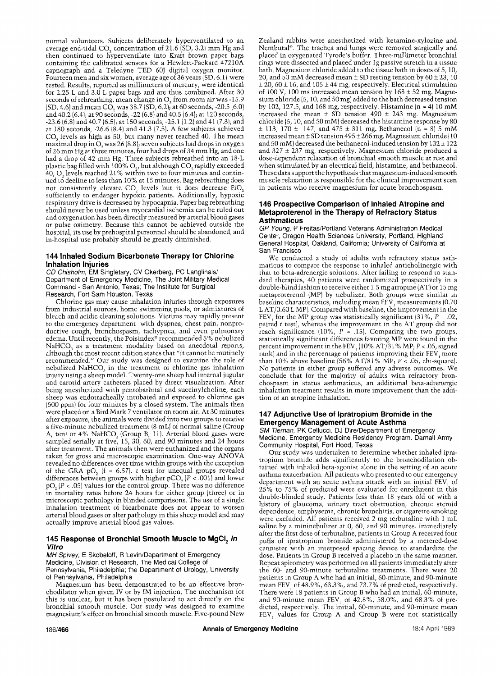normal volunteers. Subjects deliberately hyperventilated to an average end-tidal CO<sub>s</sub> concentration of 21.6 (SD, 3.2) mm Hg and then continued to hyperventilate into Kraft brown paper bags containing the calibrated sensors for a Hewlett-Packard 47210A capnograph and a Teledyne TED 60J digital oxygen monitor. Fourteen men and six women, average age of 36 years (SD, 6. t) were tested. Results, reported as millimeters of mercury, were identical for 2.25-L and 3.0-L paper bags and are thus combined. After 30 seconds of rebreathing, mean change in O, from room air was -15.9  $\rm (SD, 4.6)$  and mean CO, was 38.7  $\rm (SD, 6.2)$ ; at 60 seconds, -20.5 (6.0) and 40.2 (6.4); at 90 seconds, -22 (6.8) and 40.5 (6.4); at 120 seconds, -23.6 (6.8)and 40.7 (6.5); at 150 seconds, -25.1 (1.2) and 41 {7.3); and at 180 seconds, -26.6 (8.4) and 4t.3 (7.5). A few subjects achieved CO<sub>2</sub> levels as high as 50, but many never reached 40. The mean maximal drop in O, was 26 (8.8); seven subjects had drops in oxygen of 26 mm Hg at three minutes, four had drops of 34 mm Hg, and one had a drop of 42 mm Hg. Three subjects rebreathed into an 18-L plastic bag filled with 100%  $\mathrm{O}_{2}$ , but although CO $_{2}$ rapidly exceeded  $40$ , O<sub>2</sub> levels reached 21% within two to four minutes and continued to decline to less than  $10\%$  at 15 minutes. Bag rebreathing does not consistently elevate CO<sub>2</sub> levels but it does decrease FiO<sub>2</sub> sufficiently to endanger hypoxic patients. Additionally, hypoxic respiratory drive is decreased by hypocapnia. Paper bag rebreathing should never be used unless myocardial ischemia can be ruled out and oxygenation has been directly measured by arterial blood gases or pulse oximetry. Because this cannot be achieved outside the hospital, its use by prehospital personnel should be abandoned, and in-hospital use probably should be greatly diminished.

# **144 Inhaled Sodium Bicarbonate Therapy for Chlorine Inhalation Injuries**

*CD Chisholm,* EM Singletary, CV Okerberg, PC Langlinais/ Department of Emergency Medicine, The Joint Military Medical Command - San Antonio, Texas; The Institute for Surgical Research, Fort Sam Houston, Texas

Chlorine gas may cause inhalation injuries through exposures from industrial sources, home swimming pools, or admixtures of bleach and acidic cleaning solutions. Victims may rapidly present to the emergency department with dyspnea, chest pain, nonproductive cough, bronchospasm, tachypnea, and even pulmonary edema. Until recently, the Poisindex<sup>®</sup> recommended 5% nebulized NaHCO, as a treatment modality based on anecdotal reports, although the most recent edition states that "it cannot be routinely recommended." Our study was designed to examine the role of nebulized NaHCO, in the treatment of chlorine gas inhalation injury using a sheep model. Twenty-one sheep had internal jugular and carotid artery catheters placed by direct visualization. After being anesthetized with pentobarbital and succinylcholine, each sheep was endotracheally intubated and exposed to chlorine gas (500 ppm) for four minutes by a closed system. The animals then were placed on a Bird Mark 7 ventilator on room air. At 30 minutes after exposure, the animals were divided into two groups to receive a five-minute nebulized treatment (8 mL)' of normal saline {Group A, ten) or 4%  $NaHCO<sub>3</sub>$  (Group B, 11). Arterial blood gases were sampled serially at five, I5, 30, 60, and 90 minutes and 24 hours after treatment. The animals then were euthanized and the organs taken for gross and microscopic examination. One-way ANOVA revealed no differences over time within groups with the exception of the GRA pO,  $(f = 6.57)$ . t test for unequal groups revealed differences between groups with higher pCO<sub>2</sub>  $[P < .001]$  and lower  $pO<sub>a</sub>$  (P < .05) values for the control group. There was no difference in mortality rates before 24 hours for either group (three) or in microscopic pathology in blinded comparisons. The use of a single inhalation treatment of bicarbonate does not appear to worsen arterial blood gases or alter pathology in this sheep model and may actually improve arterial blood gas values.

### 145 Response of Bronchial Smooth Muscle to MgCI<sub>2</sub> *In Vitro*

*MH Spivey,* E Skobeloff, R Levin/Department of Emergency Medicine, Division of Research, The Medical College of Pennsylvania, Philadelphia; the Department of Urology, University of Pennsylvania, Philadelphia

Magnesium has been demonstrated to be an effective bronchodilator when given IV or by IM injection. The mechanism for this is unclear, but it has been postulated to act directly on the bronchial smooth muscle. Our study was designed to examine magnesium's effect on bronchial smooth muscle. Five-pound New

Zealand rabbits were anesthetized with ketamine-xylozine and Nembutal®. The trachea and lungs were removed surgically and placed in oxygenated Tyrode's buffer. Three-millimeter bronchial rings were dissected and plaeed under lg passive stretch in a tissue bath. Magnesium chloride added to the tissue bath in doses of 5, 10, 20, and 50 mM decreased mean  $\pm$  SD resting tension by 60  $\pm$  23, 10  $± 20, 60 ± 16, and 105 ± 44 mg, respectively. Electrical stimulation$ of 100 V, 100 ms increased mean tension by  $168 \pm 52$  mg. Magnesium chloride (5, 10, and 50 mg) added to the bath decreased tension by 102, 127.5, and 168 mg, respectively. Histamine  $(n = 4)$  10 mM increased the mean  $\pm$  SD tension 490  $\pm$  243 mg. Magnesium chloride  $(5, 10, \text{and } 50 \text{ mM})$  decreased the histamine response by  $80$  $\pm$  113, 170  $\pm$  147, and 475  $\pm$  311 mg. Bethanecol (n = 8) 5 mM increased mean  $\pm$  SD tension 495  $\pm$  266 mg. Magnesium chloride (10 and 50 mM) decreased the bethanecol-induced tension by  $132 \pm 122$ and  $327 \pm 237$  mg, respectively. Magnesium chloride produced a dose-dependent relaxation of bronchial smooth muscle at rest and when stimulated by an electrical field, histamine, and bethanecol. These data support the hypothesis that magnesium-induced smooth muscle relaxation is responsible for the clinical improvement seen in patients who receive magnesium for acute bronchospasm.

#### **146 Prospective Comparison of Inhaled Atropine and Metaproterenol in the Therapy of Refractory Status Asthmaticus**

*GP Young,* P Freitas/Portland Veterans Administration Medical Center, Oregon Health Sciences University, Portland, Highland General Hospital, Oakland, California; University of California at San Francisco

We conducted a study of adults with refractory status asthmaticus to compare the response to inhaled anticholinergic with that to beta-adrenergic solutions. After failing to respond to standard therapies, 40 patients were randomized prospectively in a double-blind fashion to receive either 1.5 mg atropine (AT) or 15 mg metaproterenol (MP) by nebulizer. Both groups were similar in baseline characteristics, including mean FEV, measurements (0.70 L AT/0.60 L MP}. Compared with baseline, the improvement in the FEV, for the MP group was statistically significant  $(31\%, P = .02)$ , paired t test), whereas the improvement in the AT group did not reach significance (10%,  $P = .15$ ). Comparing the two groups, statistically significant differences favoring MP were found in the percent improvement in the FEV,  $(10\% \text{ AT}/31\% \text{ MP}; P < .05, \text{signed}$ rank) and in the percentage of patients improving their FEV, more than 10% above baseline (56% AT/81% MP;  $P < .05$ , chi-square). No patients in either group suffered any adverse outcomes. We conclude that for the majority of adults with refractory bronchospasm in status asthmaticus, an additional beta-adrenergic inhalation treatment results in more improvement than the addition of an atropine inhalation.

## **147 Adjunctive Use of Ipratropium Bromide in the Emergency Management of Acute Asthma**

*SM Tiernan,* PK Cellucci, DJ Dire/Department of Emergency Medicine, Emergency Medicine Residency Program, Darnall Army Community Hospital, Fort Hood, Texas

Our study was undertaken to determine whether inhaled ipratropium bromide adds significantly to the bronchodilation obtained with inhaled beta-agonist alone in the setting of an acute asthma exacerbation. All patients who presented to our emergency department with an acute asthma attack with an initial  $FEV<sub>1</sub>$  of 25% to 75% of predicted were evaluated for enrollment in this double-blinded study. Patients less than 18 years old or with a history of glaucoma, urinary tract obstruction, chronic steroid dependence, emphysema, chronic bronchitis, or cigarette smoking were excluded. All patients received 2 mg terbutaline with 1 mL saline by a mininebulizer at  $0$ ,  $60$ , and  $90$  minutes. Immediately after the first dose of terbutaline, patients in Group A received four puffs of ipratropium bromide administered by a metered-dose cannister with an interposed spacing device to standardize the dose. Patients in Group B received a placebo in the same manner. Repeat spirometry was performed on all patients immediately after the 60- and 90-minute terbutaline treatments. There were 20 patients in Group A who had an initial, 60-minute, and 90-minute mean FEV~ of 48.9%, 63.3%, and 73.7% of predicted, respectively. There were 18 patients in Group B who had an initial, 60-minute, and 90-minute mean FEV~ of 42.8%, 58.0%, and 68.3% of predicted, respectively. The initial, 60-minute, and 90-minute mean FEV, values for Group A and Group B were not statistically